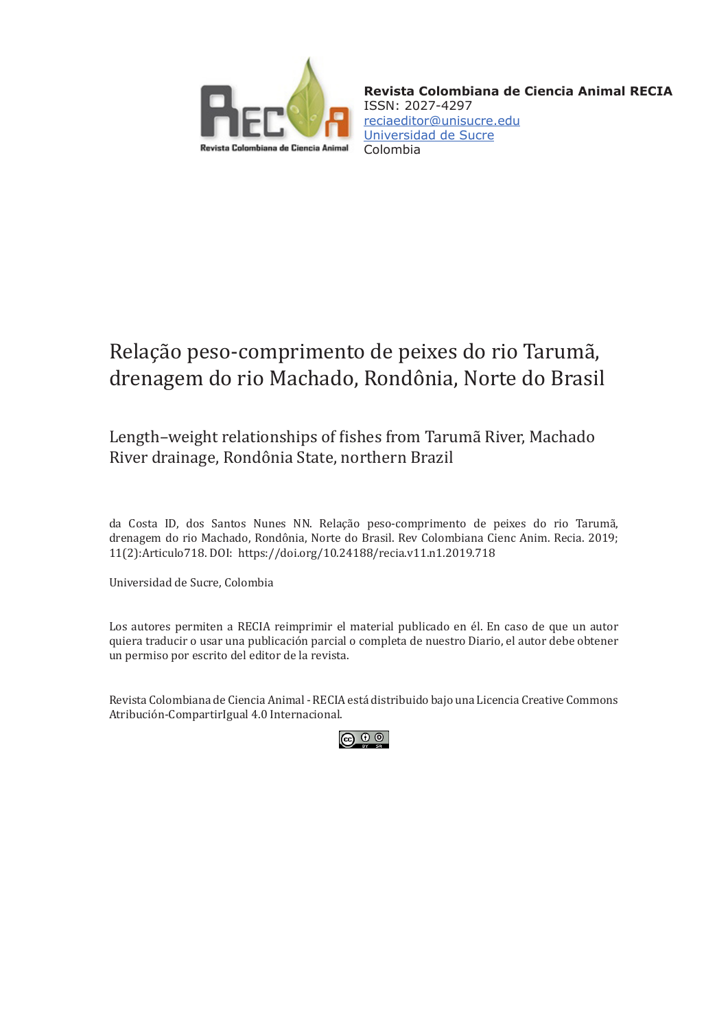

**Revista Colombiana de Ciencia Animal RECIA** ISSN: 2027-4297 [reciaeditor@unisucre.edu](mailto:reciaeditor%40unisucre.edu?subject=) [Universidad de Sucre](http://www.unisucre.edu.co/) Colombia

# Relação peso-comprimento de peixes do rio Tarumã, drenagem do rio Machado, Rondônia, Norte do Brasil

Length–weight relationships of fishes from Tarumã River, Machado River drainage, Rondônia State, northern Brazil

da Costa ID, dos Santos Nunes NN. Relação peso-comprimento de peixes do rio Tarumã, drenagem do rio Machado, Rondônia, Norte do Brasil. Rev Colombiana Cienc Anim. Recia. 2019; 11(2):Articulo718. DOI: [https://doi.org/10.24188/recia.v11.n1.2019.7](https://doi.org/10.24188/recia.v11.n1.2019.718)18

Universidad de Sucre, Colombia

Los autores permiten a RECIA reimprimir el material publicado en él. En caso de que un autor quiera traducir o usar una publicación parcial o completa de nuestro Diario, el autor debe obtener un permiso por escrito del editor de la revista.

Revista Colombiana de Ciencia Animal - RECIA está distribuido bajo una Licencia Creative Commons Atribución-CompartirIgual 4.0 Internacional.

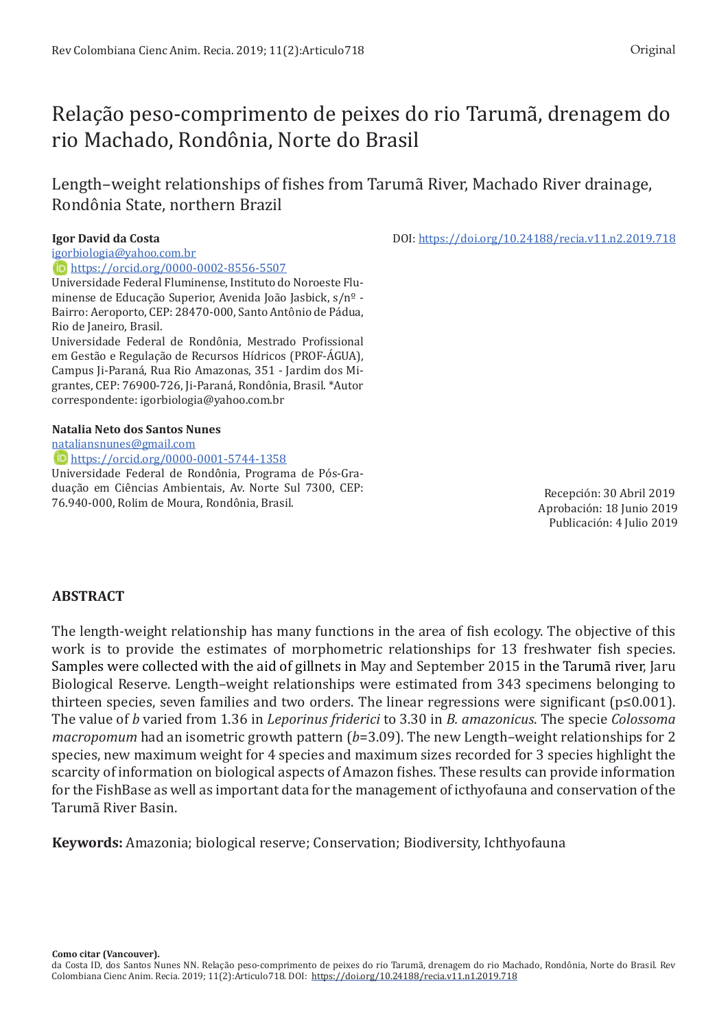# Relação peso-comprimento de peixes do rio Tarumã, drenagem do rio Machado, Rondônia, Norte do Brasil

Length–weight relationships of fishes from Tarumã River, Machado River drainage, Rondônia State, northern Brazil

#### **Igor David da Costa** DOI: [https://doi.org/10.24188/recia.v11.n2.2019.718](https://doi.org/10.24188/recia.v11.n2.2019.718 )

[igorbiologia@yahoo.com.br](mailto:igorbiologia@yahoo.com.br)

 <https://orcid.org/0000-0002-8556-5507> Universidade Federal Fluminense, Instituto do Noroeste Fluminense de Educação Superior, Avenida João Jasbick, s/nº - Bairro: Aeroporto, CEP: 28470-000, Santo Antônio de Pádua, Rio de Janeiro, Brasil.

Universidade Federal de Rondônia, Mestrado Profissional em Gestão e Regulação de Recursos Hídricos (PROF-ÁGUA), Campus Ji-Paraná, Rua Rio Amazonas, 351 - Jardim dos Migrantes, CEP: 76900-726, Ji-Paraná, Rondônia, Brasil. \*Autor correspondente: igorbiologia@yahoo.com.br

#### **Natalia Neto dos Santos Nunes**

[nataliansnunes@gmail.com](mailto:nataliansnunes@gmail.com)

#### <https://orcid.org/0000-0001-5744-1358>

Universidade Federal de Rondônia, Programa de Pós-Graduação em Ciências Ambientais, Av. Norte Sul 7300, CEP: 76.940-000, Rolim de Moura, Rondônia, Brasil.

Recepción: 30 Abril 2019 Aprobación: 18 Junio 2019 Publicación: 4 Julio 2019

# **ABSTRACT**

The length-weight relationship has many functions in the area of fish ecology. The objective of this work is to provide the estimates of morphometric relationships for 13 freshwater fish species. Samples were collected with the aid of gillnets in May and September 2015 in the Tarumã river, Jaru Biological Reserve. Length–weight relationships were estimated from 343 specimens belonging to thirteen species, seven families and two orders. The linear regressions were significant (p≤0.001). The value of *b* varied from 1.36 in *Leporinus friderici* to 3.30 in *B. amazonicus*. The specie *Colossoma macropomum* had an isometric growth pattern (*b*=3.09). The new Length–weight relationships for 2 species, new maximum weight for 4 species and maximum sizes recorded for 3 species highlight the scarcity of information on biological aspects of Amazon fishes. These results can provide information for the FishBase as well as important data for the management of icthyofauna and conservation of the Tarumã River Basin.

**Keywords:** Amazonia; biological reserve; Conservation; Biodiversity, Ichthyofauna

**Como citar (Vancouver).**

da Costa ID, dos Santos Nunes NN. Relação peso-comprimento de peixes do rio Tarumã, drenagem do rio Machado, Rondônia, Norte do Brasil. Rev Colombiana Cienc Anim. Recia. 2019; 11(2):Articulo718. DOI: [https://doi.org/10.24188/recia.v11.n1.2019.7](https://doi.org/10.24188/recia.v11.n1.2019.682)18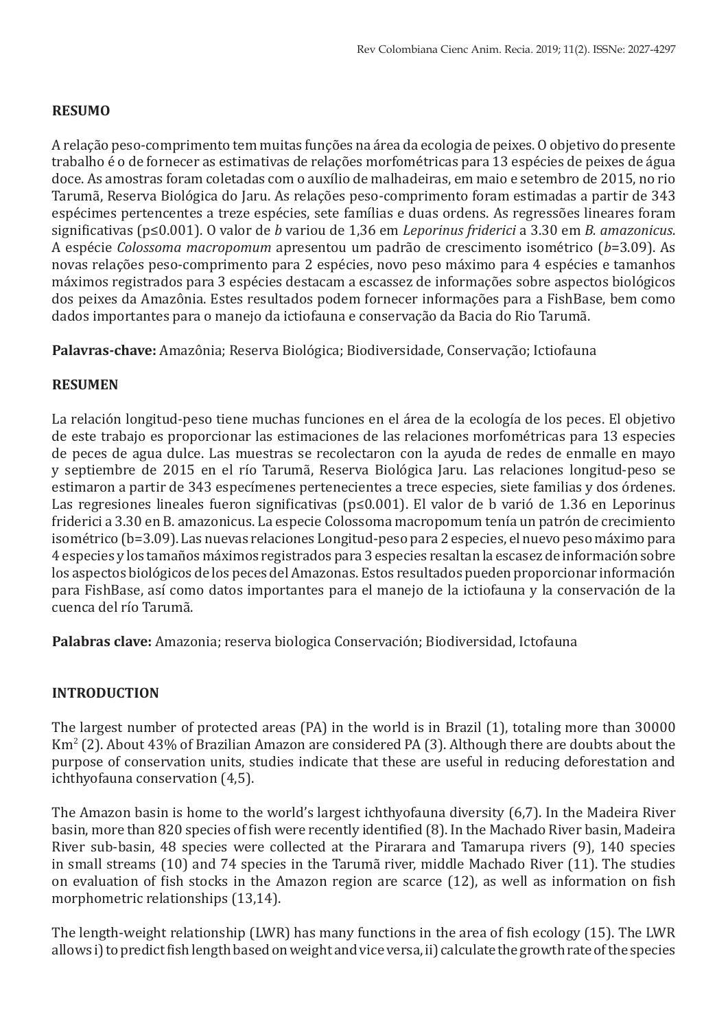# **RESUMO**

A relação peso-comprimento tem muitas funções na área da ecologia de peixes. O objetivo do presente trabalho é o de fornecer as estimativas de relações morfométricas para 13 espécies de peixes de água doce. As amostras foram coletadas com o auxílio de malhadeiras, em maio e setembro de 2015, no rio Tarumã, Reserva Biológica do Jaru. As relações peso-comprimento foram estimadas a partir de 343 espécimes pertencentes a treze espécies, sete famílias e duas ordens. As regressões lineares foram significativas (p≤0.001). O valor de *b* variou de 1,36 em *Leporinus friderici* a 3.30 em *B. amazonicus*. A espécie *Colossoma macropomum* apresentou um padrão de crescimento isométrico (*b*=3.09). As novas relações peso-comprimento para 2 espécies, novo peso máximo para 4 espécies e tamanhos máximos registrados para 3 espécies destacam a escassez de informações sobre aspectos biológicos dos peixes da Amazônia. Estes resultados podem fornecer informações para a FishBase, bem como dados importantes para o manejo da ictiofauna e conservação da Bacia do Rio Tarumã.

**Palavras-chave:** Amazônia; Reserva Biológica; Biodiversidade, Conservação; Ictiofauna

# **RESUMEN**

La relación longitud-peso tiene muchas funciones en el área de la ecología de los peces. El objetivo de este trabajo es proporcionar las estimaciones de las relaciones morfométricas para 13 especies de peces de agua dulce. Las muestras se recolectaron con la ayuda de redes de enmalle en mayo y septiembre de 2015 en el río Tarumã, Reserva Biológica Jaru. Las relaciones longitud-peso se estimaron a partir de 343 especímenes pertenecientes a trece especies, siete familias y dos órdenes. Las regresiones lineales fueron significativas (p≤0.001). El valor de b varió de 1.36 en Leporinus friderici a 3.30 en B. amazonicus. La especie Colossoma macropomum tenía un patrón de crecimiento isométrico (b=3.09). Las nuevas relaciones Longitud-peso para 2 especies, el nuevo peso máximo para 4 especies y los tamaños máximos registrados para 3 especies resaltan la escasez de información sobre los aspectos biológicos de los peces del Amazonas. Estos resultados pueden proporcionar información para FishBase, así como datos importantes para el manejo de la ictiofauna y la conservación de la cuenca del río Tarumã.

**Palabras clave:** Amazonia; reserva biologica Conservación; Biodiversidad, Ictofauna

# **INTRODUCTION**

The largest number of protected areas (PA) in the world is in Brazil (1), totaling more than 30000 Km<sup>2</sup> (2). About 43% of Brazilian Amazon are considered PA (3). Although there are doubts about the purpose of conservation units, studies indicate that these are useful in reducing deforestation and ichthyofauna conservation (4,5).

The Amazon basin is home to the world's largest ichthyofauna diversity (6,7). In the Madeira River basin, more than 820 species of fish were recently identified (8). In the Machado River basin, Madeira River sub-basin, 48 species were collected at the Pirarara and Tamarupa rivers (9), 140 species in small streams (10) and 74 species in the Tarumã river, middle Machado River (11). The studies on evaluation of fish stocks in the Amazon region are scarce (12), as well as information on fish morphometric relationships (13,14).

The length-weight relationship (LWR) has many functions in the area of fish ecology (15). The LWR allows i) to predict fish length based on weight and vice versa, ii) calculate the growth rate of the species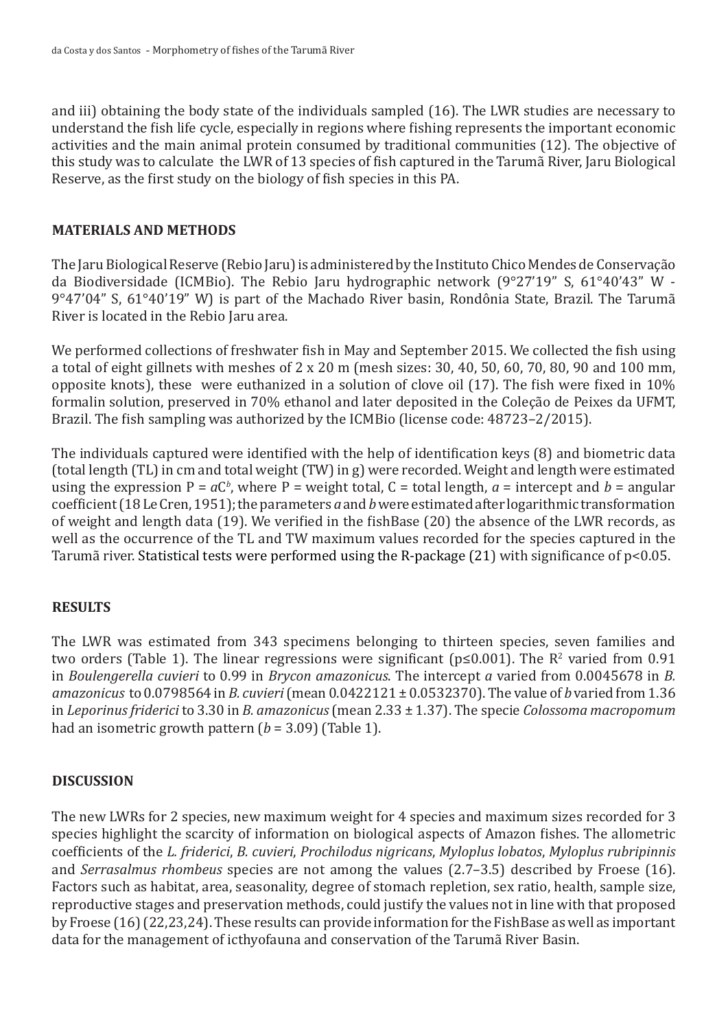and iii) obtaining the body state of the individuals sampled (16). The LWR studies are necessary to understand the fish life cycle, especially in regions where fishing represents the important economic activities and the main animal protein consumed by traditional communities (12). The objective of this study was to calculate the LWR of 13 species of fish captured in the Tarumã River, Jaru Biological Reserve, as the first study on the biology of fish species in this PA.

# **MATERIALS AND METHODS**

The Jaru Biological Reserve (Rebio Jaru) is administered by the Instituto Chico Mendes de Conservação da Biodiversidade (ICMBio). The Rebio Jaru hydrographic network (9°27'19" S, 61°40'43" W - 9°47'04" S, 61°40'19" W) is part of the Machado River basin, Rondônia State, Brazil. The Tarumã River is located in the Rebio Jaru area.

We performed collections of freshwater fish in May and September 2015. We collected the fish using a total of eight gillnets with meshes of 2 x 20 m (mesh sizes: 30, 40, 50, 60, 70, 80, 90 and 100 mm, opposite knots), these were euthanized in a solution of clove oil (17). The fish were fixed in 10% formalin solution, preserved in 70% ethanol and later deposited in the Coleção de Peixes da UFMT, Brazil. The fish sampling was authorized by the ICMBio (license code: 48723–2/2015).

The individuals captured were identified with the help of identification keys (8) and biometric data (total length (TL) in cm and total weight (TW) in g) were recorded. Weight and length were estimated using the expression  $P = aC^b$ , where  $P =$  weight total,  $C =$  total length,  $a =$  intercept and  $b =$  angular coefficient (18 Le Cren, 1951); the parameters *a* and *b* were estimated after logarithmic transformation of weight and length data (19). We verified in the fishBase (20) the absence of the LWR records, as well as the occurrence of the TL and TW maximum values recorded for the species captured in the Tarumã river. Statistical tests were performed using the R-package (21) with significance of p<0.05.

# **RESULTS**

The LWR was estimated from 343 specimens belonging to thirteen species, seven families and two orders (Table 1). The linear regressions were significant (p≤0.001). The R<sup>2</sup> varied from 0.91 in *Boulengerella cuvieri* to 0.99 in *Brycon amazonicus*. The intercept *a* varied from 0.0045678 in *B. amazonicus* to 0.0798564 in *B. cuvieri* (mean 0.0422121 ± 0.0532370). The value of *b* varied from 1.36 in *Leporinus friderici* to 3.30 in *B. amazonicus* (mean 2.33 ± 1.37). The specie *Colossoma macropomum*  had an isometric growth pattern (*b* = 3.09) (Table 1).

# **DISCUSSION**

The new LWRs for 2 species, new maximum weight for 4 species and maximum sizes recorded for 3 species highlight the scarcity of information on biological aspects of Amazon fishes. The allometric coefficients of the *L. friderici*, *B. cuvieri*, *Prochilodus nigricans*, *Myloplus lobatos*, *Myloplus rubripinnis* and *Serrasalmus rhombeus* species are not among the values (2.7–3.5) described by Froese (16). Factors such as habitat, area, seasonality, degree of stomach repletion, sex ratio, health, sample size, reproductive stages and preservation methods, could justify the values not in line with that proposed by Froese (16) (22,23,24). These results can provide information for the FishBase as well as important data for the management of icthyofauna and conservation of the Tarumã River Basin.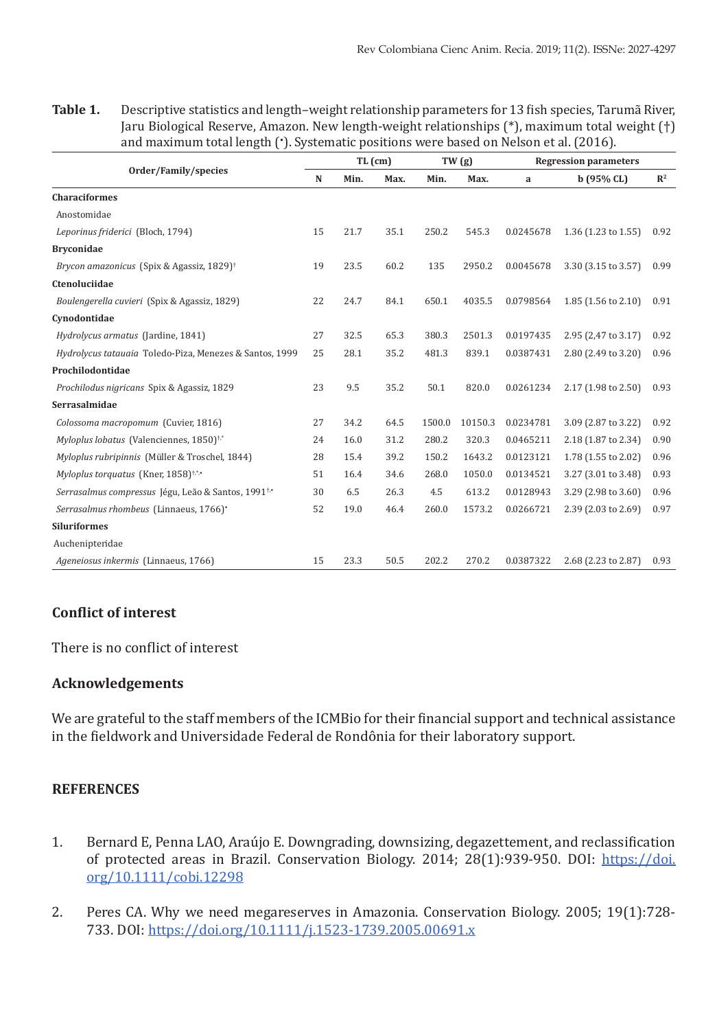**Table 1.** Descriptive statistics and length–weight relationship parameters for 13 fish species, Tarumã River, Jaru Biological Reserve, Amazon. New length-weight relationships (\*), maximum total weight (†) and maximum total length (• ). Systematic positions were based on Nelson et al. (2016).

| Order/Family/species                                           | $TL$ (cm) |      |      | TW (g) |         | <b>Regression parameters</b> |                     |                |
|----------------------------------------------------------------|-----------|------|------|--------|---------|------------------------------|---------------------|----------------|
|                                                                | N         | Min. | Max. | Min.   | Max.    | a                            | b(95% CL)           | $\mathbb{R}^2$ |
| <b>Characiformes</b>                                           |           |      |      |        |         |                              |                     |                |
| Anostomidae                                                    |           |      |      |        |         |                              |                     |                |
| Leporinus friderici (Bloch, 1794)                              | 15        | 21.7 | 35.1 | 250.2  | 545.3   | 0.0245678                    | 1.36 (1.23 to 1.55) | 0.92           |
| <b>Bryconidae</b>                                              |           |      |      |        |         |                              |                     |                |
| Brycon amazonicus (Spix & Agassiz, 1829) <sup>†</sup>          | 19        | 23.5 | 60.2 | 135    | 2950.2  | 0.0045678                    | 3.30 (3.15 to 3.57) | 0.99           |
| Ctenoluciidae                                                  |           |      |      |        |         |                              |                     |                |
| Boulengerella cuvieri (Spix & Agassiz, 1829)                   | 22        | 24.7 | 84.1 | 650.1  | 4035.5  | 0.0798564                    | 1.85 (1.56 to 2.10) | 0.91           |
| Cynodontidae                                                   |           |      |      |        |         |                              |                     |                |
| Hydrolycus armatus (Jardine, 1841)                             | 27        | 32.5 | 65.3 | 380.3  | 2501.3  | 0.0197435                    | 2.95 (2,47 to 3.17) | 0.92           |
| Hydrolycus tatauaia Toledo-Piza, Menezes & Santos, 1999        | 25        | 28.1 | 35.2 | 481.3  | 839.1   | 0.0387431                    | 2.80 (2.49 to 3.20) | 0.96           |
| Prochilodontidae                                               |           |      |      |        |         |                              |                     |                |
| Prochilodus nigricans Spix & Agassiz, 1829                     | 23        | 9.5  | 35.2 | 50.1   | 820.0   | 0.0261234                    | 2.17 (1.98 to 2.50) | 0.93           |
| Serrasalmidae                                                  |           |      |      |        |         |                              |                     |                |
| Colossoma macropomum (Cuvier, 1816)                            | 27        | 34.2 | 64.5 | 1500.0 | 10150.3 | 0.0234781                    | 3.09 (2.87 to 3.22) | 0.92           |
| Myloplus lobatus (Valenciennes, 1850) <sup>†</sup> *           | 24        | 16.0 | 31.2 | 280.2  | 320.3   | 0.0465211                    | 2.18 (1.87 to 2.34) | 0.90           |
| Myloplus rubripinnis (Müller & Troschel, 1844)                 | 28        | 15.4 | 39.2 | 150.2  | 1643.2  | 0.0123121                    | 1.78 (1.55 to 2.02) | 0.96           |
| Myloplus torquatus (Kner, 1858) <sup>†</sup> **                | 51        | 16.4 | 34.6 | 268.0  | 1050.0  | 0.0134521                    | 3.27 (3.01 to 3.48) | 0.93           |
| Serrasalmus compressus Jégu, Leão & Santos, 1991 <sup>t,</sup> | 30        | 6.5  | 26.3 | 4.5    | 613.2   | 0.0128943                    | 3.29 (2.98 to 3.60) | 0.96           |
| Serrasalmus rhombeus (Linnaeus, 1766)*                         | 52        | 19.0 | 46.4 | 260.0  | 1573.2  | 0.0266721                    | 2.39 (2.03 to 2.69) | 0.97           |
| <b>Siluriformes</b>                                            |           |      |      |        |         |                              |                     |                |
| Auchenipteridae                                                |           |      |      |        |         |                              |                     |                |
| Ageneiosus inkermis (Linnaeus, 1766)                           | 15        | 23.3 | 50.5 | 202.2  | 270.2   | 0.0387322                    | 2.68 (2.23 to 2.87) | 0.93           |

# **Conflict of interest**

There is no conflict of interest

# **Acknowledgements**

We are grateful to the staff members of the ICMBio for their financial support and technical assistance in the fieldwork and Universidade Federal de Rondônia for their laboratory support.

# **REFERENCES**

- 1. Bernard E, Penna LAO, Araújo E. Downgrading, downsizing, degazettement, and reclassification of protected areas in Brazil. Conservation Biology. 2014; 28(1):939-950. DOI: [https://doi.](https://doi.org/10.1111/cobi.12298) [org/10.1111/cobi.12298](https://doi.org/10.1111/cobi.12298)
- 2. Peres CA. Why we need megareserves in Amazonia. Conservation Biology. 2005; 19(1):728- 733. DOI:<https://doi.org/10.1111/j.1523-1739.2005.00691.x>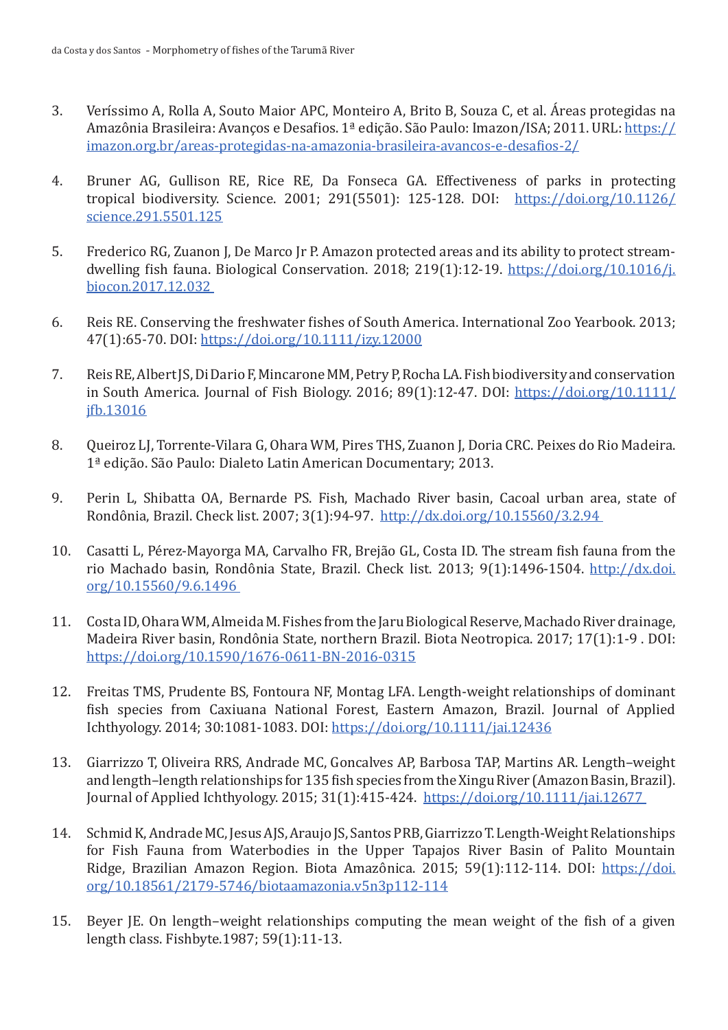- 3. Veríssimo A, Rolla A, Souto Maior APC, Monteiro A, Brito B, Souza C, et al. Áreas protegidas na Amazônia Brasileira: Avanços e Desafios. 1ª edição. São Paulo: Imazon/ISA; 2011. URL: [https://](https://imazon.org.br/areas-protegidas-na-amazonia-brasileira-avancos-e-desafios-2/) [imazon.org.br/areas-protegidas-na-amazonia-brasileira-avancos-e-desafios-2/](https://imazon.org.br/areas-protegidas-na-amazonia-brasileira-avancos-e-desafios-2/)
- 4. Bruner AG, Gullison RE, Rice RE, Da Fonseca GA. Effectiveness of parks in protecting tropical biodiversity. Science. 2001; 291(5501): 125-128. DOI: [https://doi.org/10.1126/](https://doi.org/10.1126/science.291.5501.125) [science.291.5501.125](https://doi.org/10.1126/science.291.5501.125)
- 5. Frederico RG, Zuanon J, De Marco Jr P. Amazon protected areas and its ability to protect streamdwelling fish fauna. Biological Conservation. 2018; 219(1):12-19. [https://doi.org/10.1016/j.](https://doi.org/10.1016/j.biocon.2017.12.032) [biocon.2017.12.032](https://doi.org/10.1016/j.biocon.2017.12.032)
- 6. Reis RE. Conserving the freshwater fishes of South America. International Zoo Yearbook. 2013; 47(1):65-70. DOI: https://doi.org/[10.1111/izy.12000](http://dx.doi.org/10.1111/izy.12000)
- 7. Reis RE, Albert JS, Di Dario F, Mincarone MM, Petry P, Rocha LA. Fish biodiversity and conservation in South America. Journal of Fish Biology. 2016; 89(1):12-47. DOI: [https://doi.org/10.1111/](https://doi.org/10.1111/jfb.13016) [jfb.13016](https://doi.org/10.1111/jfb.13016)
- 8. Queiroz LJ, Torrente-Vilara G, Ohara WM, Pires THS, Zuanon J, Doria CRC. Peixes do Rio Madeira. 1ª edição. São Paulo: Dialeto Latin American Documentary; 2013.
- 9. Perin L, Shibatta OA, Bernarde PS. Fish, Machado River basin, Cacoal urban area, state of Rondônia, Brazil. Check list. 2007; 3(1):94-97. <http://dx.doi.org/10.15560/3.2.94>
- 10. Casatti L, Pérez-Mayorga MA, Carvalho FR, Brejão GL, Costa ID. The stream fish fauna from the rio Machado basin, Rondônia State, Brazil. Check list. 2013; 9(1):1496-1504. [http://dx.doi.](http://dx.doi.org/10.15560/9.6.1496) [org/10.15560/9.6.1496](http://dx.doi.org/10.15560/9.6.1496)
- 11. Costa ID, Ohara WM, Almeida M. Fishes from the Jaru Biological Reserve, Machado River drainage, Madeira River basin, Rondônia State, northern Brazil. Biota Neotropica. 2017; 17(1):1-9 . DOI: <https://doi.org/10.1590/1676-0611-BN-2016-0315>
- 12. Freitas TMS, Prudente BS, Fontoura NF, Montag LFA. Length-weight relationships of dominant fish species from Caxiuana National Forest, Eastern Amazon, Brazil. Journal of Applied Ichthyology. 2014; 30:1081-1083. DOI: <https://doi.org/10.1111/jai.12436>
- 13. Giarrizzo T, Oliveira RRS, Andrade MC, Goncalves AP, Barbosa TAP, Martins AR. Length–weight and length–length relationships for 135 fish species from the Xingu River (Amazon Basin, Brazil). Journal of Applied Ichthyology. 2015; 31(1):415-424. <https://doi.org/10.1111/jai.12677>
- 14. Schmid K, Andrade MC, Jesus AJS, Araujo JS, Santos PRB, Giarrizzo T. Length-Weight Relationships for Fish Fauna from Waterbodies in the Upper Tapajos River Basin of Palito Mountain Ridge, Brazilian Amazon Region. Biota Amazônica. 2015; 59(1):112-114. DOI: [https://doi.](https://doi.org/10.18561/2179-5746/biotaamazonia.v5n3p112-114) [org/10.18561/2179-5746/biotaamazonia.v5n3p112-114](https://doi.org/10.18561/2179-5746/biotaamazonia.v5n3p112-114)
- 15. Beyer JE. On length–weight relationships computing the mean weight of the fish of a given length class. Fishbyte.1987; 59(1):11-13.